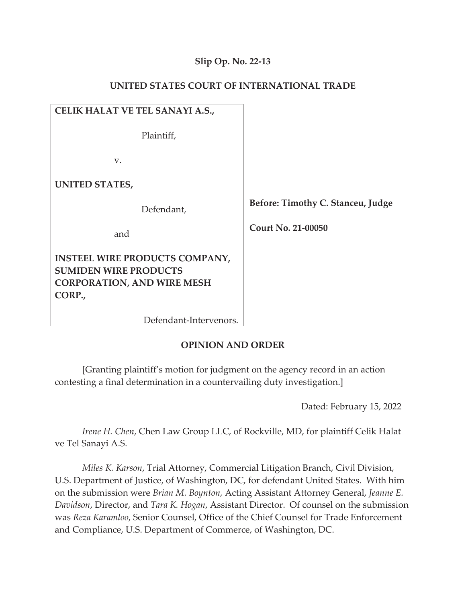# **Slip Op. No. 22-13**

| CELIK HALAT VE TEL SANAYI A.S.,                                                                                      |                                   |
|----------------------------------------------------------------------------------------------------------------------|-----------------------------------|
| Plaintiff,                                                                                                           |                                   |
| V.                                                                                                                   |                                   |
| <b>UNITED STATES,</b>                                                                                                |                                   |
| Defendant,                                                                                                           | Before: Timothy C. Stanceu, Judge |
| and                                                                                                                  | Court No. 21-00050                |
| <b>INSTEEL WIRE PRODUCTS COMPANY,</b><br><b>SUMIDEN WIRE PRODUCTS</b><br><b>CORPORATION, AND WIRE MESH</b><br>CORP., |                                   |

## **UNITED STATES COURT OF INTERNATIONAL TRADE**

Defendant-Intervenors.

## **OPINION AND ORDER**

[Granting plaintiff's motion for judgment on the agency record in an action contesting a final determination in a countervailing duty investigation.]

Dated: February 15, 2022

*Irene H. Chen*, Chen Law Group LLC, of Rockville, MD, for plaintiff Celik Halat ve Tel Sanayi A.S.

*Miles K. Karson*, Trial Attorney, Commercial Litigation Branch, Civil Division, U.S. Department of Justice, of Washington, DC, for defendant United States. With him on the submission were *Brian M. Boynton,* Acting Assistant Attorney General, *Jeanne E. Davidson*, Director, and *Tara K. Hogan*, Assistant Director. Of counsel on the submission was *Reza Karamloo*, Senior Counsel, Office of the Chief Counsel for Trade Enforcement and Compliance, U.S. Department of Commerce, of Washington, DC.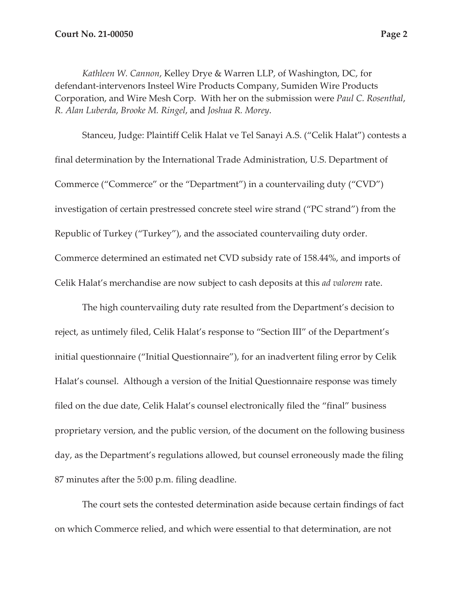*Kathleen W. Cannon*, Kelley Drye & Warren LLP, of Washington, DC, for defendant-intervenors Insteel Wire Products Company, Sumiden Wire Products Corporation, and Wire Mesh Corp. With her on the submission were *Paul C. Rosenthal*, *R. Alan Luberda*, *Brooke M. Ringel*, and *Joshua R. Morey*.

Stanceu, Judge: Plaintiff Celik Halat ve Tel Sanayi A.S. ("Celik Halat") contests a final determination by the International Trade Administration, U.S. Department of Commerce ("Commerce" or the "Department") in a countervailing duty ("CVD") investigation of certain prestressed concrete steel wire strand ("PC strand") from the Republic of Turkey ("Turkey"), and the associated countervailing duty order. Commerce determined an estimated net CVD subsidy rate of 158.44%, and imports of Celik Halat's merchandise are now subject to cash deposits at this *ad valorem* rate.

The high countervailing duty rate resulted from the Department's decision to reject, as untimely filed, Celik Halat's response to "Section III" of the Department's initial questionnaire ("Initial Questionnaire"), for an inadvertent filing error by Celik Halat's counsel. Although a version of the Initial Questionnaire response was timely filed on the due date, Celik Halat's counsel electronically filed the "final" business proprietary version, and the public version, of the document on the following business day, as the Department's regulations allowed, but counsel erroneously made the filing 87 minutes after the 5:00 p.m. filing deadline.

The court sets the contested determination aside because certain findings of fact on which Commerce relied, and which were essential to that determination, are not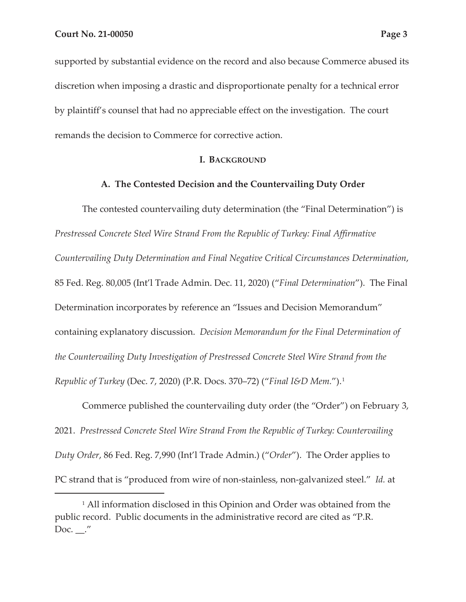supported by substantial evidence on the record and also because Commerce abused its discretion when imposing a drastic and disproportionate penalty for a technical error by plaintiff's counsel that had no appreciable effect on the investigation. The court remands the decision to Commerce for corrective action.

## **I. BACKGROUND**

## **A. The Contested Decision and the Countervailing Duty Order**

The contested countervailing duty determination (the "Final Determination") is *Prestressed Concrete Steel Wire Strand From the Republic of Turkey: Final Affirmative Countervailing Duty Determination and Final Negative Critical Circumstances Determination*, 85 Fed. Reg. 80,005 (Int'l Trade Admin. Dec. 11, 2020) ("*Final Determination*"). The Final Determination incorporates by reference an "Issues and Decision Memorandum" containing explanatory discussion. *Decision Memorandum for the Final Determination of the Countervailing Duty Investigation of Prestressed Concrete Steel Wire Strand from the Republic of Turkey* (Dec. 7, 2020) (P.R. Docs. 370–72) ("*Final I&D Mem.*").1

Commerce published the countervailing duty order (the "Order") on February 3, 2021. *Prestressed Concrete Steel Wire Strand From the Republic of Turkey: Countervailing Duty Order*, 86 Fed. Reg. 7,990 (Int'l Trade Admin.) ("*Order*"). The Order applies to PC strand that is "produced from wire of non-stainless, non-galvanized steel." *Id.* at

<sup>&</sup>lt;sup>1</sup> All information disclosed in this Opinion and Order was obtained from the public record. Public documents in the administrative record are cited as "P.R. Doc.  $\_\cdot''$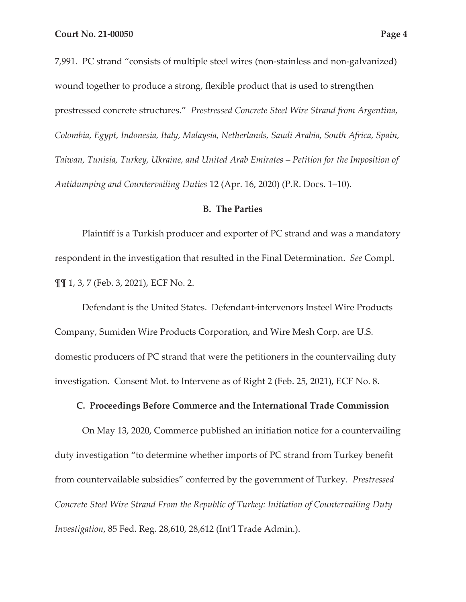7,991. PC strand "consists of multiple steel wires (non-stainless and non-galvanized) wound together to produce a strong, flexible product that is used to strengthen prestressed concrete structures." *Prestressed Concrete Steel Wire Strand from Argentina, Colombia, Egypt, Indonesia, Italy, Malaysia, Netherlands, Saudi Arabia, South Africa, Spain, Taiwan, Tunisia, Turkey, Ukraine, and United Arab Emirates – Petition for the Imposition of Antidumping and Countervailing Duties* 12 (Apr. 16, 2020) (P.R. Docs. 1–10).

#### **B. The Parties**

Plaintiff is a Turkish producer and exporter of PC strand and was a mandatory respondent in the investigation that resulted in the Final Determination. *See* Compl. ¶¶ 1, 3, 7 (Feb. 3, 2021), ECF No. 2.

Defendant is the United States. Defendant-intervenors Insteel Wire Products Company, Sumiden Wire Products Corporation, and Wire Mesh Corp. are U.S. domestic producers of PC strand that were the petitioners in the countervailing duty investigation. Consent Mot. to Intervene as of Right 2 (Feb. 25, 2021), ECF No. 8.

### **C. Proceedings Before Commerce and the International Trade Commission**

On May 13, 2020, Commerce published an initiation notice for a countervailing duty investigation "to determine whether imports of PC strand from Turkey benefit from countervailable subsidies" conferred by the government of Turkey. *Prestressed Concrete Steel Wire Strand From the Republic of Turkey: Initiation of Countervailing Duty Investigation*, 85 Fed. Reg. 28,610, 28,612 (Int'l Trade Admin.).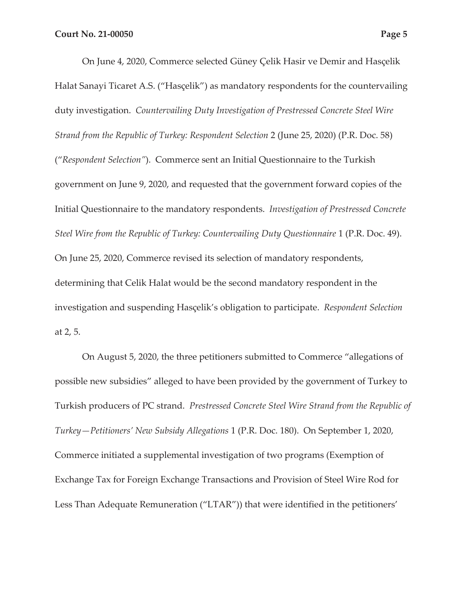On June 4, 2020, Commerce selected Güney Çelik Hasir ve Demir and Hasçelik Halat Sanayi Ticaret A.S. ("Hasçelik") as mandatory respondents for the countervailing duty investigation. *Countervailing Duty Investigation of Prestressed Concrete Steel Wire Strand from the Republic of Turkey: Respondent Selection* 2 (June 25, 2020) (P.R. Doc. 58) ("*Respondent Selection"*). Commerce sent an Initial Questionnaire to the Turkish government on June 9, 2020, and requested that the government forward copies of the Initial Questionnaire to the mandatory respondents. *Investigation of Prestressed Concrete Steel Wire from the Republic of Turkey: Countervailing Duty Questionnaire 1 (P.R. Doc. 49).* On June 25, 2020, Commerce revised its selection of mandatory respondents, determining that Celik Halat would be the second mandatory respondent in the investigation and suspending Hasçelik's obligation to participate. *Respondent Selection* at 2, 5.

On August 5, 2020, the three petitioners submitted to Commerce "allegations of possible new subsidies" alleged to have been provided by the government of Turkey to Turkish producers of PC strand. *Prestressed Concrete Steel Wire Strand from the Republic of Turkey—Petitioners' New Subsidy Allegations* 1 (P.R. Doc. 180). On September 1, 2020, Commerce initiated a supplemental investigation of two programs (Exemption of Exchange Tax for Foreign Exchange Transactions and Provision of Steel Wire Rod for Less Than Adequate Remuneration ("LTAR")) that were identified in the petitioners'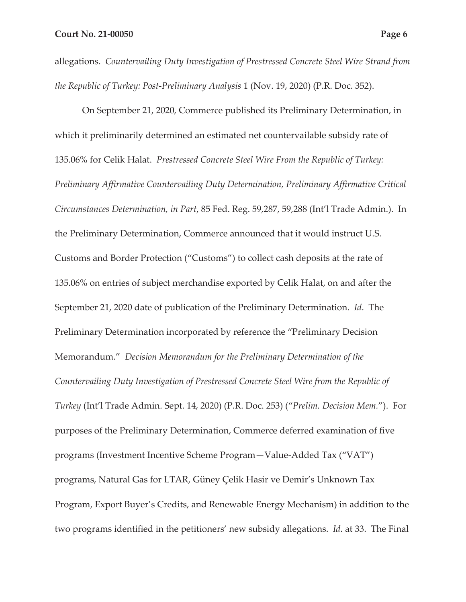allegations. *Countervailing Duty Investigation of Prestressed Concrete Steel Wire Strand from the Republic of Turkey: Post-Preliminary Analysis* 1 (Nov. 19, 2020) (P.R. Doc. 352).

On September 21, 2020, Commerce published its Preliminary Determination, in which it preliminarily determined an estimated net countervailable subsidy rate of 135.06% for Celik Halat. *Prestressed Concrete Steel Wire From the Republic of Turkey: Preliminary Affirmative Countervailing Duty Determination, Preliminary Affirmative Critical Circumstances Determination, in Part*, 85 Fed. Reg. 59,287, 59,288 (Int'l Trade Admin.). In the Preliminary Determination, Commerce announced that it would instruct U.S. Customs and Border Protection ("Customs") to collect cash deposits at the rate of 135.06% on entries of subject merchandise exported by Celik Halat, on and after the September 21, 2020 date of publication of the Preliminary Determination. *Id*. The Preliminary Determination incorporated by reference the "Preliminary Decision Memorandum." *Decision Memorandum for the Preliminary Determination of the Countervailing Duty Investigation of Prestressed Concrete Steel Wire from the Republic of Turkey* (Int'l Trade Admin. Sept. 14, 2020) (P.R. Doc. 253) ("*Prelim. Decision Mem.*"). For purposes of the Preliminary Determination, Commerce deferred examination of five programs (Investment Incentive Scheme Program—Value-Added Tax ("VAT") programs, Natural Gas for LTAR, Güney Çelik Hasir ve Demir's Unknown Tax Program, Export Buyer's Credits, and Renewable Energy Mechanism) in addition to the two programs identified in the petitioners' new subsidy allegations. *Id.* at 33. The Final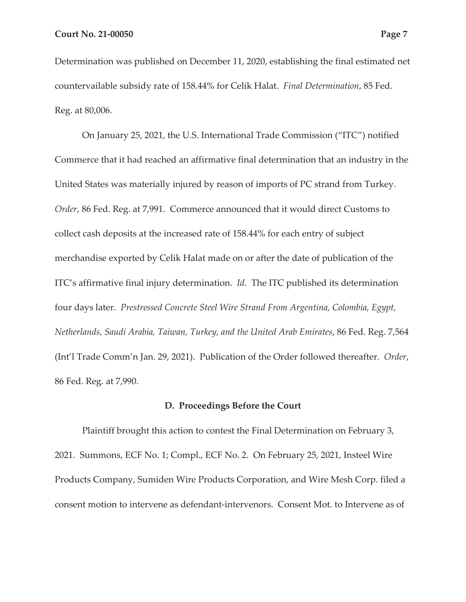Determination was published on December 11, 2020, establishing the final estimated net countervailable subsidy rate of 158.44% for Celik Halat. *Final Determination*, 85 Fed. Reg. at 80,006.

On January 25, 2021, the U.S. International Trade Commission ("ITC") notified Commerce that it had reached an affirmative final determination that an industry in the United States was materially injured by reason of imports of PC strand from Turkey. *Order*, 86 Fed. Reg. at 7,991. Commerce announced that it would direct Customs to collect cash deposits at the increased rate of 158.44% for each entry of subject merchandise exported by Celik Halat made on or after the date of publication of the ITC's affirmative final injury determination. *Id*. The ITC published its determination four days later. *Prestressed Concrete Steel Wire Strand From Argentina, Colombia, Egypt, Netherlands, Saudi Arabia, Taiwan, Turkey, and the United Arab Emirates*, 86 Fed. Reg. 7,564 (Int'l Trade Comm'n Jan. 29, 2021). Publication of the Order followed thereafter. *Order*, 86 Fed. Reg. at 7,990.

### **D. Proceedings Before the Court**

Plaintiff brought this action to contest the Final Determination on February 3, 2021. Summons, ECF No. 1; Compl., ECF No. 2. On February 25, 2021, Insteel Wire Products Company, Sumiden Wire Products Corporation, and Wire Mesh Corp. filed a consent motion to intervene as defendant-intervenors. Consent Mot. to Intervene as of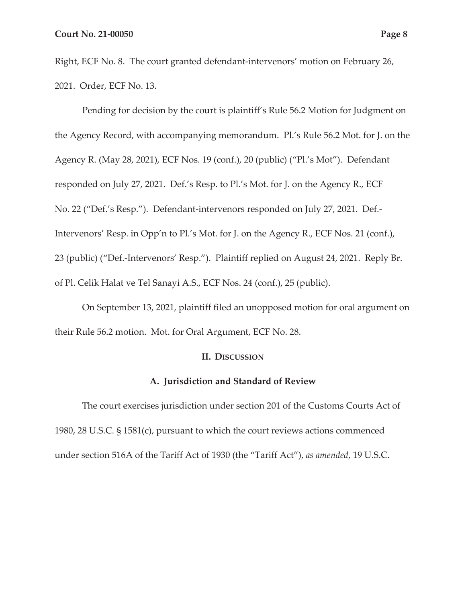Right, ECF No. 8. The court granted defendant-intervenors' motion on February 26, 2021. Order, ECF No. 13.

Pending for decision by the court is plaintiff's Rule 56.2 Motion for Judgment on the Agency Record, with accompanying memorandum. Pl.'s Rule 56.2 Mot. for J. on the Agency R. (May 28, 2021), ECF Nos. 19 (conf.), 20 (public) ("Pl.'s Mot"). Defendant responded on July 27, 2021. Def.'s Resp. to Pl.'s Mot. for J. on the Agency R., ECF No. 22 ("Def.'s Resp."). Defendant-intervenors responded on July 27, 2021. Def.- Intervenors' Resp. in Opp'n to Pl.'s Mot. for J. on the Agency R., ECF Nos. 21 (conf.), 23 (public) ("Def.-Intervenors' Resp."). Plaintiff replied on August 24, 2021. Reply Br. of Pl. Celik Halat ve Tel Sanayi A.S., ECF Nos. 24 (conf.), 25 (public).

On September 13, 2021, plaintiff filed an unopposed motion for oral argument on their Rule 56.2 motion. Mot. for Oral Argument, ECF No. 28.

#### **II. DISCUSSION**

### **A. Jurisdiction and Standard of Review**

The court exercises jurisdiction under section 201 of the Customs Courts Act of 1980, 28 U.S.C. § 1581(c), pursuant to which the court reviews actions commenced under section 516A of the Tariff Act of 1930 (the "Tariff Act"), *as amended*, 19 U.S.C.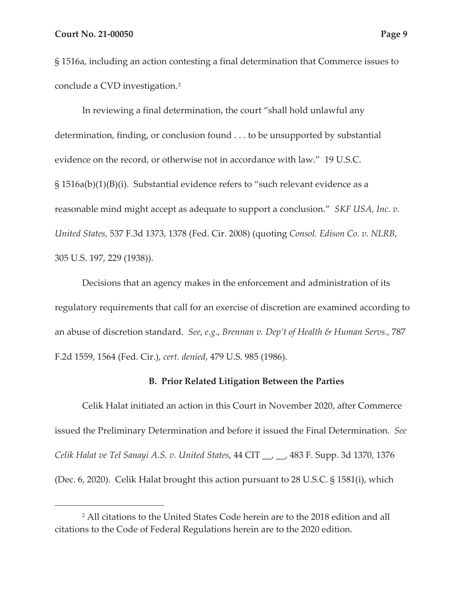§ 1516a, including an action contesting a final determination that Commerce issues to conclude a CVD investigation.2

In reviewing a final determination, the court "shall hold unlawful any determination, finding, or conclusion found . . . to be unsupported by substantial evidence on the record, or otherwise not in accordance with law." 19 U.S.C. § 1516a(b)(1)(B)(i). Substantial evidence refers to "such relevant evidence as a reasonable mind might accept as adequate to support a conclusion." *SKF USA, Inc. v. United States*, 537 F.3d 1373, 1378 (Fed. Cir. 2008) (quoting *Consol. Edison Co. v. NLRB*, 305 U.S. 197, 229 (1938)).

Decisions that an agency makes in the enforcement and administration of its regulatory requirements that call for an exercise of discretion are examined according to an abuse of discretion standard. *See*, *e.g.*, *Brennan v. Dep't of Health & Human Servs.*, 787 F.2d 1559, 1564 (Fed. Cir.), *cert. denied*, 479 U.S. 985 (1986).

#### **B. Prior Related Litigation Between the Parties**

Celik Halat initiated an action in this Court in November 2020, after Commerce issued the Preliminary Determination and before it issued the Final Determination. *See Celik Halat ve Tel Sanayi A.S. v. United States*, 44 CIT \_\_, \_\_, 483 F. Supp. 3d 1370, 1376 (Dec. 6, 2020). Celik Halat brought this action pursuant to 28 U.S.C. § 1581(i), which

<sup>2</sup> All citations to the United States Code herein are to the 2018 edition and all citations to the Code of Federal Regulations herein are to the 2020 edition.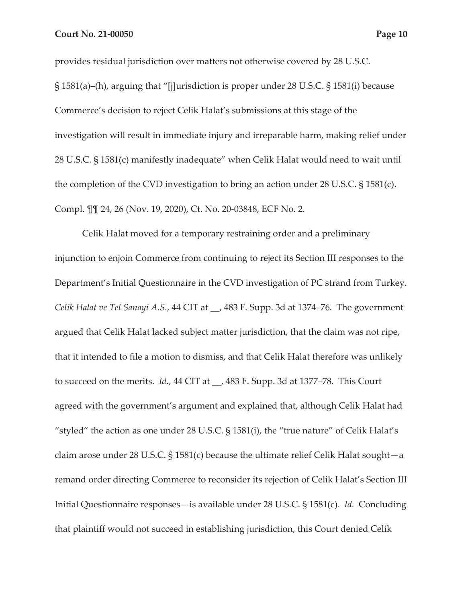provides residual jurisdiction over matters not otherwise covered by 28 U.S.C. § 1581(a)–(h), arguing that "[j]urisdiction is proper under 28 U.S.C. § 1581(i) because Commerce's decision to reject Celik Halat's submissions at this stage of the investigation will result in immediate injury and irreparable harm, making relief under 28 U.S.C. § 1581(c) manifestly inadequate" when Celik Halat would need to wait until the completion of the CVD investigation to bring an action under 28 U.S.C. § 1581(c). Compl. ¶¶ 24, 26 (Nov. 19, 2020), Ct. No. 20-03848, ECF No. 2.

Celik Halat moved for a temporary restraining order and a preliminary injunction to enjoin Commerce from continuing to reject its Section III responses to the Department's Initial Questionnaire in the CVD investigation of PC strand from Turkey. *Celik Halat ve Tel Sanayi A.S.*, 44 CIT at \_\_, 483 F. Supp. 3d at 1374–76. The government argued that Celik Halat lacked subject matter jurisdiction, that the claim was not ripe, that it intended to file a motion to dismiss, and that Celik Halat therefore was unlikely to succeed on the merits. *Id.*, 44 CIT at \_\_, 483 F. Supp. 3d at 1377–78. This Court agreed with the government's argument and explained that, although Celik Halat had "styled" the action as one under 28 U.S.C. § 1581(i), the "true nature" of Celik Halat's claim arose under 28 U.S.C. § 1581(c) because the ultimate relief Celik Halat sought—a remand order directing Commerce to reconsider its rejection of Celik Halat's Section III Initial Questionnaire responses—is available under 28 U.S.C. § 1581(c). *Id.* Concluding that plaintiff would not succeed in establishing jurisdiction, this Court denied Celik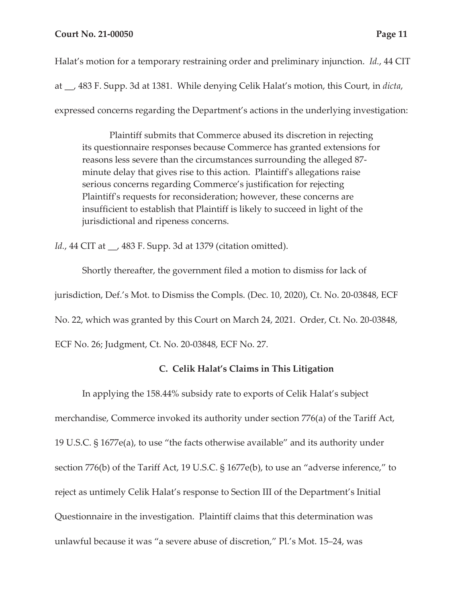Halat's motion for a temporary restraining order and preliminary injunction. *Id.*, 44 CIT at \_\_, 483 F. Supp. 3d at 1381. While denying Celik Halat's motion, this Court, in *dicta*, expressed concerns regarding the Department's actions in the underlying investigation:

Plaintiff submits that Commerce abused its discretion in rejecting its questionnaire responses because Commerce has granted extensions for reasons less severe than the circumstances surrounding the alleged 87 minute delay that gives rise to this action. Plaintiff's allegations raise serious concerns regarding Commerce's justification for rejecting Plaintiff's requests for reconsideration; however, these concerns are insufficient to establish that Plaintiff is likely to succeed in light of the jurisdictional and ripeness concerns.

*Id.*, 44 CIT at \_\_, 483 F. Supp. 3d at 1379 (citation omitted).

Shortly thereafter, the government filed a motion to dismiss for lack of jurisdiction, Def.'s Mot. to Dismiss the Compls. (Dec. 10, 2020), Ct. No. 20-03848, ECF No. 22, which was granted by this Court on March 24, 2021. Order, Ct. No. 20-03848, ECF No. 26; Judgment, Ct. No. 20-03848, ECF No. 27.

# **C. Celik Halat's Claims in This Litigation**

In applying the 158.44% subsidy rate to exports of Celik Halat's subject merchandise, Commerce invoked its authority under section 776(a) of the Tariff Act, 19 U.S.C. § 1677e(a), to use "the facts otherwise available" and its authority under section 776(b) of the Tariff Act, 19 U.S.C. § 1677e(b), to use an "adverse inference," to reject as untimely Celik Halat's response to Section III of the Department's Initial Questionnaire in the investigation. Plaintiff claims that this determination was unlawful because it was "a severe abuse of discretion," Pl.'s Mot. 15–24, was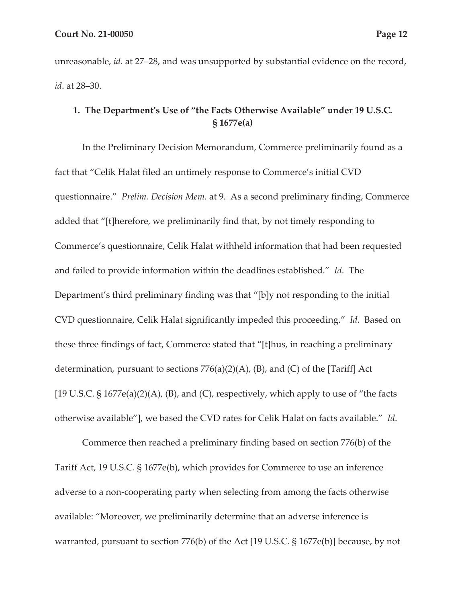unreasonable, *id.* at 27–28, and was unsupported by substantial evidence on the record, *id*. at 28–30.

# **1. The Department's Use of "the Facts Otherwise Available" under 19 U.S.C. § 1677e(a)**

In the Preliminary Decision Memorandum, Commerce preliminarily found as a fact that "Celik Halat filed an untimely response to Commerce's initial CVD questionnaire." *Prelim. Decision Mem.* at 9. As a second preliminary finding, Commerce added that "[t]herefore, we preliminarily find that, by not timely responding to Commerce's questionnaire, Celik Halat withheld information that had been requested and failed to provide information within the deadlines established." *Id*. The Department's third preliminary finding was that "[b]y not responding to the initial CVD questionnaire, Celik Halat significantly impeded this proceeding." *Id*. Based on these three findings of fact, Commerce stated that "[t]hus, in reaching a preliminary determination, pursuant to sections  $776(a)(2)(A)$ , (B), and (C) of the [Tariff] Act [19 U.S.C.  $\S$  1677e(a)(2)(A), (B), and (C), respectively, which apply to use of "the facts otherwise available"], we based the CVD rates for Celik Halat on facts available." *Id*.

Commerce then reached a preliminary finding based on section 776(b) of the Tariff Act, 19 U.S.C. § 1677e(b), which provides for Commerce to use an inference adverse to a non-cooperating party when selecting from among the facts otherwise available: "Moreover, we preliminarily determine that an adverse inference is warranted, pursuant to section 776(b) of the Act [19 U.S.C. § 1677e(b)] because, by not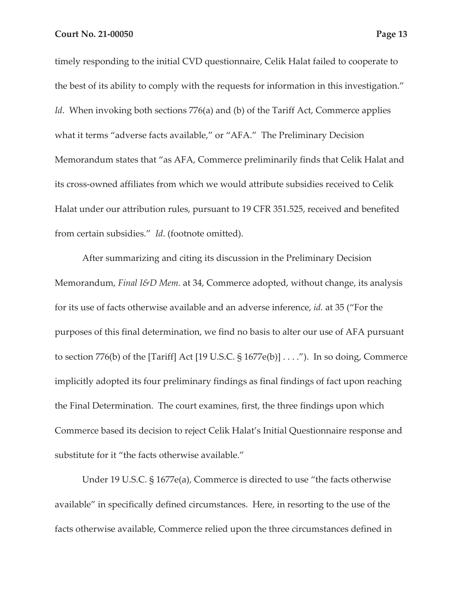timely responding to the initial CVD questionnaire, Celik Halat failed to cooperate to the best of its ability to comply with the requests for information in this investigation." *Id.* When invoking both sections 776(a) and (b) of the Tariff Act, Commerce applies what it terms "adverse facts available," or "AFA." The Preliminary Decision Memorandum states that "as AFA, Commerce preliminarily finds that Celik Halat and its cross-owned affiliates from which we would attribute subsidies received to Celik Halat under our attribution rules, pursuant to 19 CFR 351.525, received and benefited from certain subsidies." *Id*. (footnote omitted).

After summarizing and citing its discussion in the Preliminary Decision Memorandum, *Final I&D Mem.* at 34, Commerce adopted, without change, its analysis for its use of facts otherwise available and an adverse inference, *id.* at 35 ("For the purposes of this final determination, we find no basis to alter our use of AFA pursuant to section 776(b) of the [Tariff] Act [19 U.S.C. § 1677e(b)] . . . ."). In so doing, Commerce implicitly adopted its four preliminary findings as final findings of fact upon reaching the Final Determination. The court examines, first, the three findings upon which Commerce based its decision to reject Celik Halat's Initial Questionnaire response and substitute for it "the facts otherwise available."

Under 19 U.S.C. § 1677e(a), Commerce is directed to use "the facts otherwise available" in specifically defined circumstances. Here, in resorting to the use of the facts otherwise available, Commerce relied upon the three circumstances defined in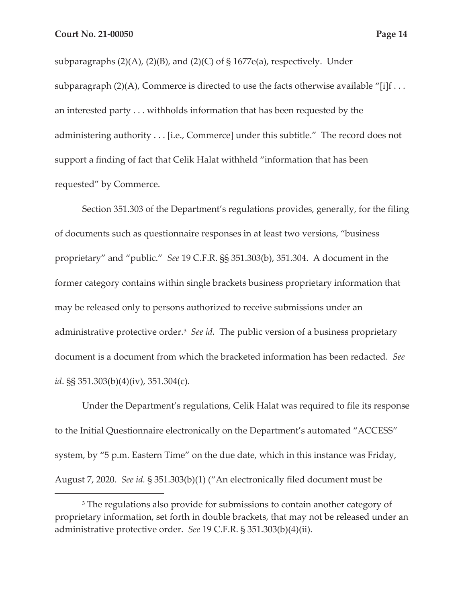subparagraphs  $(2)(A)$ ,  $(2)(B)$ , and  $(2)(C)$  of § 1677e(a), respectively. Under subparagraph  $(2)(A)$ , Commerce is directed to use the facts otherwise available "[i]f ... an interested party . . . withholds information that has been requested by the administering authority . . . [i.e., Commerce] under this subtitle." The record does not support a finding of fact that Celik Halat withheld "information that has been requested" by Commerce.

Section 351.303 of the Department's regulations provides, generally, for the filing of documents such as questionnaire responses in at least two versions, "business proprietary" and "public." *See* 19 C.F.R. §§ 351.303(b), 351.304. A document in the former category contains within single brackets business proprietary information that may be released only to persons authorized to receive submissions under an administrative protective order.<sup>3</sup> *See id.* The public version of a business proprietary document is a document from which the bracketed information has been redacted. *See id*. §§ 351.303(b)(4)(iv), 351.304(c).

Under the Department's regulations, Celik Halat was required to file its response to the Initial Questionnaire electronically on the Department's automated "ACCESS" system, by "5 p.m. Eastern Time" on the due date, which in this instance was Friday, August 7, 2020. *See id.* § 351.303(b)(1) ("An electronically filed document must be

<sup>&</sup>lt;sup>3</sup> The regulations also provide for submissions to contain another category of proprietary information, set forth in double brackets, that may not be released under an administrative protective order. *See* 19 C.F.R. § 351.303(b)(4)(ii).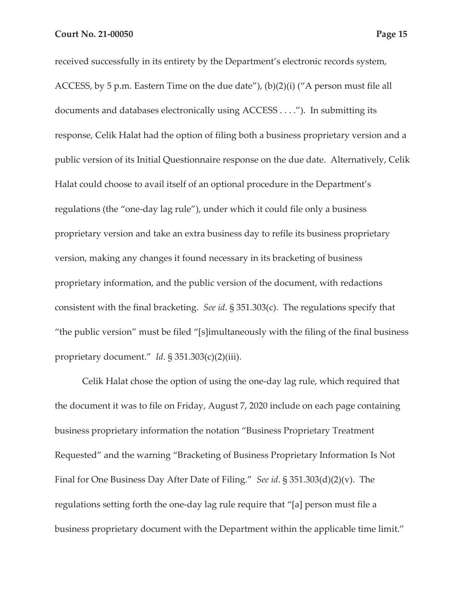received successfully in its entirety by the Department's electronic records system, ACCESS, by 5 p.m. Eastern Time on the due date"), (b)(2)(i) ("A person must file all documents and databases electronically using ACCESS . . . ."). In submitting its response, Celik Halat had the option of filing both a business proprietary version and a public version of its Initial Questionnaire response on the due date. Alternatively, Celik Halat could choose to avail itself of an optional procedure in the Department's regulations (the "one-day lag rule"), under which it could file only a business proprietary version and take an extra business day to refile its business proprietary version, making any changes it found necessary in its bracketing of business proprietary information, and the public version of the document, with redactions consistent with the final bracketing. *See id*. § 351.303(c). The regulations specify that "the public version" must be filed "[s]imultaneously with the filing of the final business proprietary document." *Id*. § 351.303(c)(2)(iii).

Celik Halat chose the option of using the one-day lag rule, which required that the document it was to file on Friday, August 7, 2020 include on each page containing business proprietary information the notation "Business Proprietary Treatment Requested" and the warning "Bracketing of Business Proprietary Information Is Not Final for One Business Day After Date of Filing." *See id*. § 351.303(d)(2)(v). The regulations setting forth the one-day lag rule require that "[a] person must file a business proprietary document with the Department within the applicable time limit."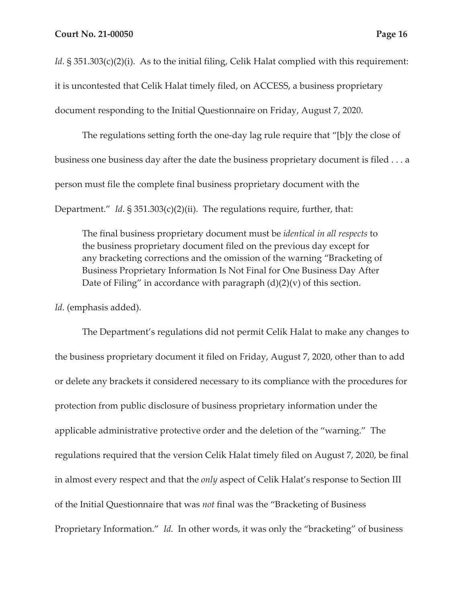*Id*. § 351.303(c)(2)(i). As to the initial filing, Celik Halat complied with this requirement: it is uncontested that Celik Halat timely filed, on ACCESS, a business proprietary document responding to the Initial Questionnaire on Friday, August 7, 2020.

The regulations setting forth the one-day lag rule require that "[b]y the close of business one business day after the date the business proprietary document is filed . . . a person must file the complete final business proprietary document with the Department." *Id*. § 351.303(c)(2)(ii). The regulations require, further, that:

The final business proprietary document must be *identical in all respects* to the business proprietary document filed on the previous day except for any bracketing corrections and the omission of the warning "Bracketing of Business Proprietary Information Is Not Final for One Business Day After Date of Filing" in accordance with paragraph  $(d)(2)(v)$  of this section.

*Id*. (emphasis added).

The Department's regulations did not permit Celik Halat to make any changes to the business proprietary document it filed on Friday, August 7, 2020, other than to add or delete any brackets it considered necessary to its compliance with the procedures for protection from public disclosure of business proprietary information under the applicable administrative protective order and the deletion of the "warning." The regulations required that the version Celik Halat timely filed on August 7, 2020, be final in almost every respect and that the *only* aspect of Celik Halat's response to Section III of the Initial Questionnaire that was *not* final was the "Bracketing of Business Proprietary Information." *Id.* In other words, it was only the "bracketing" of business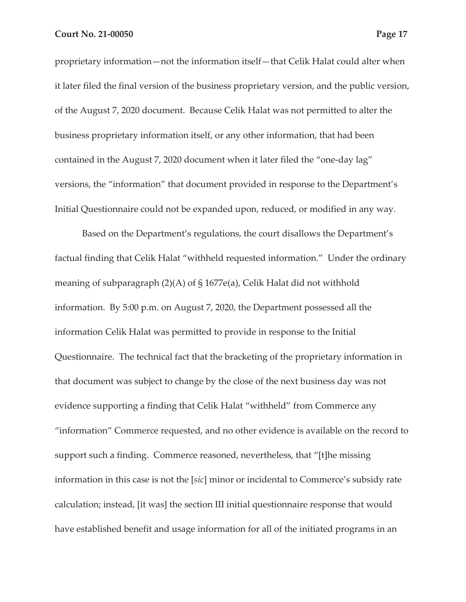proprietary information—not the information itself—that Celik Halat could alter when it later filed the final version of the business proprietary version, and the public version, of the August 7, 2020 document. Because Celik Halat was not permitted to alter the business proprietary information itself, or any other information, that had been contained in the August 7, 2020 document when it later filed the "one-day lag" versions, the "information" that document provided in response to the Department's Initial Questionnaire could not be expanded upon, reduced, or modified in any way.

Based on the Department's regulations, the court disallows the Department's factual finding that Celik Halat "withheld requested information." Under the ordinary meaning of subparagraph (2)(A) of § 1677e(a), Celik Halat did not withhold information. By 5:00 p.m. on August 7, 2020, the Department possessed all the information Celik Halat was permitted to provide in response to the Initial Questionnaire. The technical fact that the bracketing of the proprietary information in that document was subject to change by the close of the next business day was not evidence supporting a finding that Celik Halat "withheld" from Commerce any "information" Commerce requested, and no other evidence is available on the record to support such a finding. Commerce reasoned, nevertheless, that "[t]he missing information in this case is not the [*sic*] minor or incidental to Commerce's subsidy rate calculation; instead, [it was] the section III initial questionnaire response that would have established benefit and usage information for all of the initiated programs in an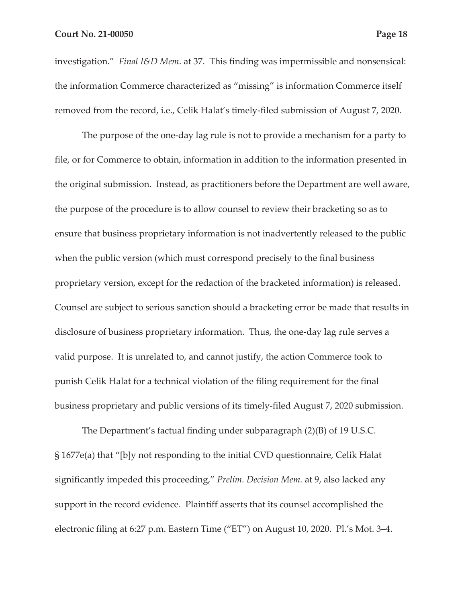investigation." *Final I&D Mem*. at 37. This finding was impermissible and nonsensical: the information Commerce characterized as "missing" is information Commerce itself removed from the record, i.e., Celik Halat's timely-filed submission of August 7, 2020.

The purpose of the one-day lag rule is not to provide a mechanism for a party to file, or for Commerce to obtain, information in addition to the information presented in the original submission. Instead, as practitioners before the Department are well aware, the purpose of the procedure is to allow counsel to review their bracketing so as to ensure that business proprietary information is not inadvertently released to the public when the public version (which must correspond precisely to the final business proprietary version, except for the redaction of the bracketed information) is released. Counsel are subject to serious sanction should a bracketing error be made that results in disclosure of business proprietary information. Thus, the one-day lag rule serves a valid purpose. It is unrelated to, and cannot justify, the action Commerce took to punish Celik Halat for a technical violation of the filing requirement for the final business proprietary and public versions of its timely-filed August 7, 2020 submission.

The Department's factual finding under subparagraph (2)(B) of 19 U.S.C. § 1677e(a) that "[b]y not responding to the initial CVD questionnaire, Celik Halat significantly impeded this proceeding," *Prelim. Decision Mem.* at 9, also lacked any support in the record evidence. Plaintiff asserts that its counsel accomplished the electronic filing at 6:27 p.m. Eastern Time ("ET") on August 10, 2020. Pl.'s Mot. 3–4.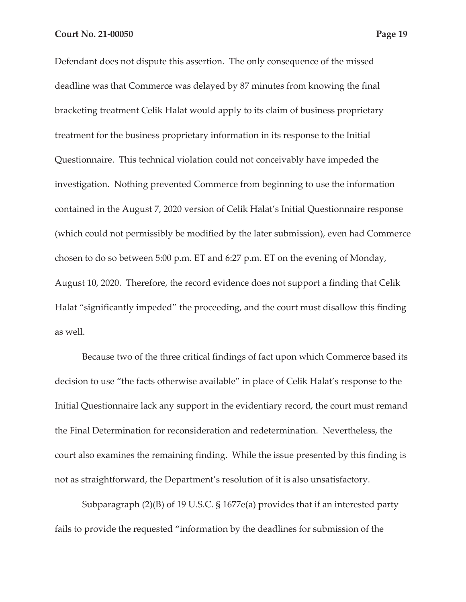Defendant does not dispute this assertion. The only consequence of the missed deadline was that Commerce was delayed by 87 minutes from knowing the final bracketing treatment Celik Halat would apply to its claim of business proprietary treatment for the business proprietary information in its response to the Initial Questionnaire. This technical violation could not conceivably have impeded the investigation. Nothing prevented Commerce from beginning to use the information contained in the August 7, 2020 version of Celik Halat's Initial Questionnaire response (which could not permissibly be modified by the later submission), even had Commerce chosen to do so between 5:00 p.m. ET and 6:27 p.m. ET on the evening of Monday, August 10, 2020. Therefore, the record evidence does not support a finding that Celik Halat "significantly impeded" the proceeding, and the court must disallow this finding as well.

Because two of the three critical findings of fact upon which Commerce based its decision to use "the facts otherwise available" in place of Celik Halat's response to the Initial Questionnaire lack any support in the evidentiary record, the court must remand the Final Determination for reconsideration and redetermination. Nevertheless, the court also examines the remaining finding. While the issue presented by this finding is not as straightforward, the Department's resolution of it is also unsatisfactory.

Subparagraph (2)(B) of 19 U.S.C. § 1677e(a) provides that if an interested party fails to provide the requested "information by the deadlines for submission of the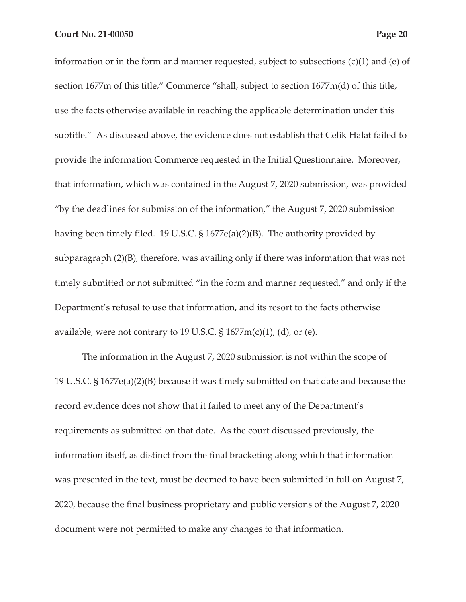information or in the form and manner requested, subject to subsections (c)(1) and (e) of section 1677m of this title," Commerce "shall, subject to section 1677m(d) of this title, use the facts otherwise available in reaching the applicable determination under this subtitle." As discussed above, the evidence does not establish that Celik Halat failed to provide the information Commerce requested in the Initial Questionnaire. Moreover, that information, which was contained in the August 7, 2020 submission, was provided "by the deadlines for submission of the information," the August 7, 2020 submission having been timely filed. 19 U.S.C. § 1677e(a)(2)(B). The authority provided by subparagraph (2)(B), therefore, was availing only if there was information that was not timely submitted or not submitted "in the form and manner requested," and only if the Department's refusal to use that information, and its resort to the facts otherwise available, were not contrary to 19 U.S.C.  $\S 1677m(c)(1)$ , (d), or (e).

The information in the August 7, 2020 submission is not within the scope of 19 U.S.C. § 1677e(a)(2)(B) because it was timely submitted on that date and because the record evidence does not show that it failed to meet any of the Department's requirements as submitted on that date. As the court discussed previously, the information itself, as distinct from the final bracketing along which that information was presented in the text, must be deemed to have been submitted in full on August 7, 2020, because the final business proprietary and public versions of the August 7, 2020 document were not permitted to make any changes to that information.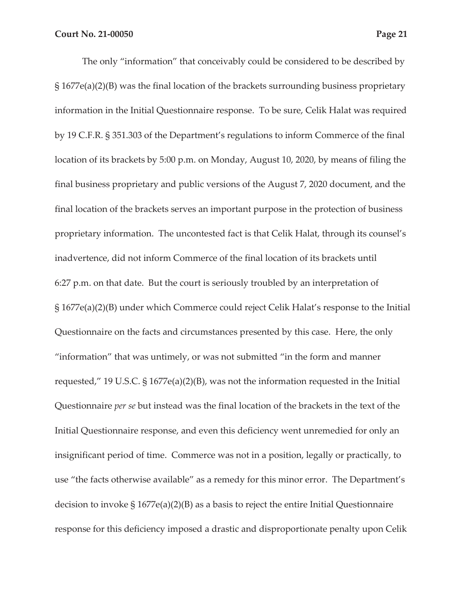The only "information" that conceivably could be considered to be described by § 1677e(a)(2)(B) was the final location of the brackets surrounding business proprietary information in the Initial Questionnaire response. To be sure, Celik Halat was required by 19 C.F.R. § 351.303 of the Department's regulations to inform Commerce of the final location of its brackets by 5:00 p.m. on Monday, August 10, 2020, by means of filing the final business proprietary and public versions of the August 7, 2020 document, and the final location of the brackets serves an important purpose in the protection of business proprietary information. The uncontested fact is that Celik Halat, through its counsel's inadvertence, did not inform Commerce of the final location of its brackets until 6:27 p.m. on that date. But the court is seriously troubled by an interpretation of § 1677e(a)(2)(B) under which Commerce could reject Celik Halat's response to the Initial Questionnaire on the facts and circumstances presented by this case. Here, the only "information" that was untimely, or was not submitted "in the form and manner requested," 19 U.S.C. § 1677e(a)(2)(B), was not the information requested in the Initial Questionnaire *per se* but instead was the final location of the brackets in the text of the Initial Questionnaire response, and even this deficiency went unremedied for only an insignificant period of time. Commerce was not in a position, legally or practically, to use "the facts otherwise available" as a remedy for this minor error. The Department's decision to invoke  $\S 1677e(a)(2)(B)$  as a basis to reject the entire Initial Questionnaire response for this deficiency imposed a drastic and disproportionate penalty upon Celik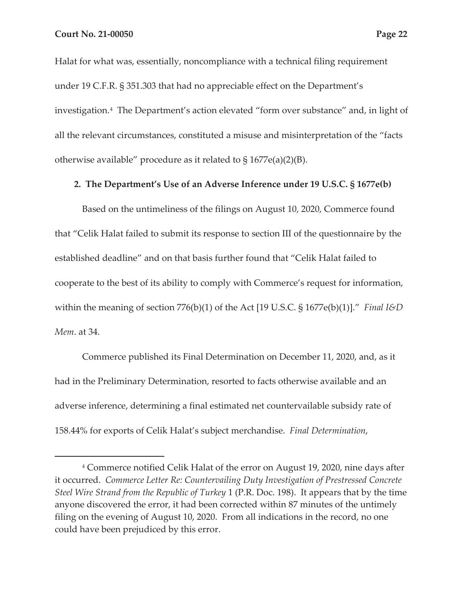Halat for what was, essentially, noncompliance with a technical filing requirement

under 19 C.F.R. § 351.303 that had no appreciable effect on the Department's investigation.4 The Department's action elevated "form over substance" and, in light of all the relevant circumstances, constituted a misuse and misinterpretation of the "facts otherwise available" procedure as it related to § 1677e(a)(2)(B).

## **2. The Department's Use of an Adverse Inference under 19 U.S.C. § 1677e(b)**

Based on the untimeliness of the filings on August 10, 2020, Commerce found that "Celik Halat failed to submit its response to section III of the questionnaire by the established deadline" and on that basis further found that "Celik Halat failed to cooperate to the best of its ability to comply with Commerce's request for information, within the meaning of section 776(b)(1) of the Act [19 U.S.C. § 1677e(b)(1)]." *Final I&D Mem*. at 34.

Commerce published its Final Determination on December 11, 2020, and, as it had in the Preliminary Determination, resorted to facts otherwise available and an adverse inference, determining a final estimated net countervailable subsidy rate of 158.44% for exports of Celik Halat's subject merchandise. *Final Determination*,

<sup>4</sup> Commerce notified Celik Halat of the error on August 19, 2020, nine days after it occurred. *Commerce Letter Re: Countervailing Duty Investigation of Prestressed Concrete Steel Wire Strand from the Republic of Turkey* 1 (P.R. Doc. 198). It appears that by the time anyone discovered the error, it had been corrected within 87 minutes of the untimely filing on the evening of August 10, 2020. From all indications in the record, no one could have been prejudiced by this error.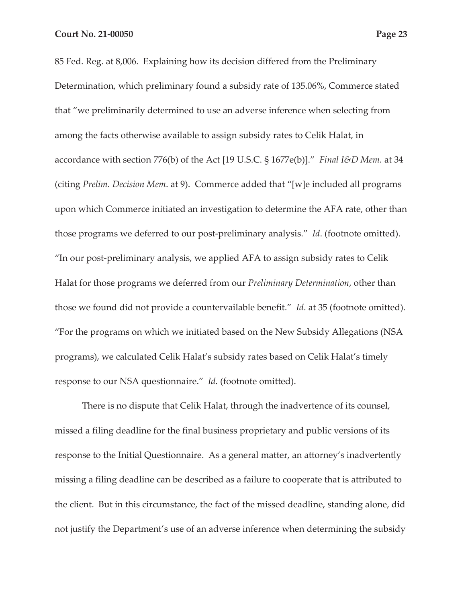85 Fed. Reg. at 8,006. Explaining how its decision differed from the Preliminary Determination, which preliminary found a subsidy rate of 135.06%, Commerce stated that "we preliminarily determined to use an adverse inference when selecting from among the facts otherwise available to assign subsidy rates to Celik Halat, in accordance with section 776(b) of the Act [19 U.S.C. § 1677e(b)]." *Final I&D Mem.* at 34 (citing *Prelim. Decision Mem*. at 9). Commerce added that "[w]e included all programs upon which Commerce initiated an investigation to determine the AFA rate, other than those programs we deferred to our post-preliminary analysis." *Id*. (footnote omitted). "In our post-preliminary analysis, we applied AFA to assign subsidy rates to Celik Halat for those programs we deferred from our *Preliminary Determination*, other than those we found did not provide a countervailable benefit." *Id*. at 35 (footnote omitted). "For the programs on which we initiated based on the New Subsidy Allegations (NSA programs), we calculated Celik Halat's subsidy rates based on Celik Halat's timely response to our NSA questionnaire." *Id.* (footnote omitted).

There is no dispute that Celik Halat, through the inadvertence of its counsel, missed a filing deadline for the final business proprietary and public versions of its response to the Initial Questionnaire. As a general matter, an attorney's inadvertently missing a filing deadline can be described as a failure to cooperate that is attributed to the client. But in this circumstance, the fact of the missed deadline, standing alone, did not justify the Department's use of an adverse inference when determining the subsidy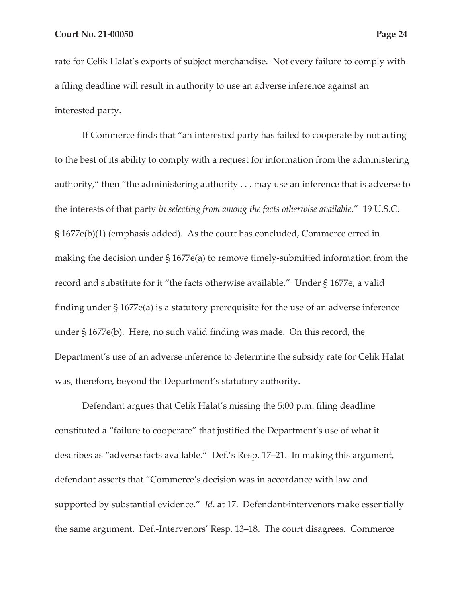rate for Celik Halat's exports of subject merchandise. Not every failure to comply with a filing deadline will result in authority to use an adverse inference against an interested party.

If Commerce finds that "an interested party has failed to cooperate by not acting to the best of its ability to comply with a request for information from the administering authority," then "the administering authority . . . may use an inference that is adverse to the interests of that party *in selecting from among the facts otherwise available*." 19 U.S.C. § 1677e(b)(1) (emphasis added). As the court has concluded, Commerce erred in making the decision under § 1677e(a) to remove timely-submitted information from the record and substitute for it "the facts otherwise available." Under § 1677e, a valid finding under § 1677e(a) is a statutory prerequisite for the use of an adverse inference under § 1677e(b). Here, no such valid finding was made. On this record, the Department's use of an adverse inference to determine the subsidy rate for Celik Halat was, therefore, beyond the Department's statutory authority.

Defendant argues that Celik Halat's missing the 5:00 p.m. filing deadline constituted a "failure to cooperate" that justified the Department's use of what it describes as "adverse facts available." Def.'s Resp. 17–21. In making this argument, defendant asserts that "Commerce's decision was in accordance with law and supported by substantial evidence." *Id*. at 17. Defendant-intervenors make essentially the same argument. Def.-Intervenors' Resp. 13–18. The court disagrees. Commerce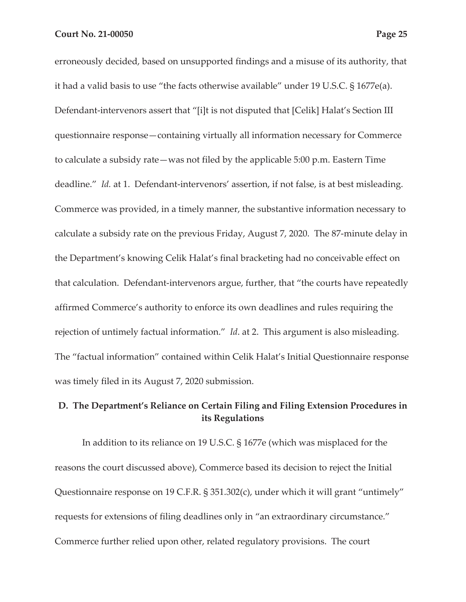erroneously decided, based on unsupported findings and a misuse of its authority, that it had a valid basis to use "the facts otherwise available" under 19 U.S.C. § 1677e(a). Defendant-intervenors assert that "[i]t is not disputed that [Celik] Halat's Section III questionnaire response—containing virtually all information necessary for Commerce to calculate a subsidy rate—was not filed by the applicable 5:00 p.m. Eastern Time deadline." *Id.* at 1. Defendant-intervenors' assertion, if not false, is at best misleading. Commerce was provided, in a timely manner, the substantive information necessary to calculate a subsidy rate on the previous Friday, August 7, 2020. The 87-minute delay in the Department's knowing Celik Halat's final bracketing had no conceivable effect on that calculation. Defendant-intervenors argue, further, that "the courts have repeatedly affirmed Commerce's authority to enforce its own deadlines and rules requiring the rejection of untimely factual information." *Id*. at 2. This argument is also misleading. The "factual information" contained within Celik Halat's Initial Questionnaire response was timely filed in its August 7, 2020 submission.

# **D. The Department's Reliance on Certain Filing and Filing Extension Procedures in its Regulations**

In addition to its reliance on 19 U.S.C. § 1677e (which was misplaced for the reasons the court discussed above), Commerce based its decision to reject the Initial Questionnaire response on 19 C.F.R. § 351.302(c), under which it will grant "untimely" requests for extensions of filing deadlines only in "an extraordinary circumstance." Commerce further relied upon other, related regulatory provisions. The court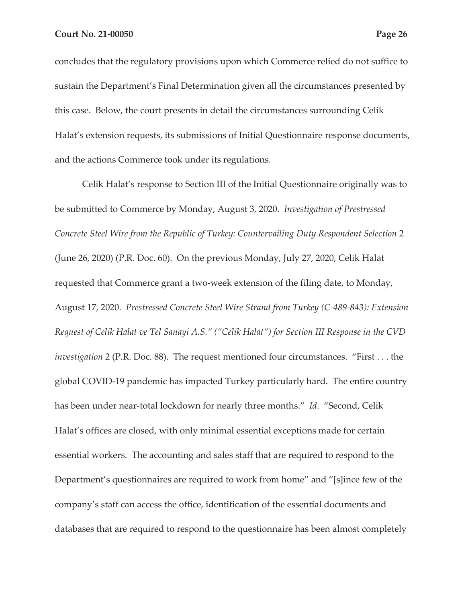concludes that the regulatory provisions upon which Commerce relied do not suffice to sustain the Department's Final Determination given all the circumstances presented by this case. Below, the court presents in detail the circumstances surrounding Celik Halat's extension requests, its submissions of Initial Questionnaire response documents, and the actions Commerce took under its regulations.

Celik Halat's response to Section III of the Initial Questionnaire originally was to be submitted to Commerce by Monday, August 3, 2020. *Investigation of Prestressed Concrete Steel Wire from the Republic of Turkey: Countervailing Duty Respondent Selection* 2 (June 26, 2020) (P.R. Doc. 60). On the previous Monday, July 27, 2020, Celik Halat requested that Commerce grant a two-week extension of the filing date, to Monday, August 17, 2020. *Prestressed Concrete Steel Wire Strand from Turkey (C-489-843): Extension Request of Celik Halat ve Tel Sanayi A.S." ("Celik Halat") for Section III Response in the CVD investigation* 2 (P.R. Doc. 88). The request mentioned four circumstances. "First . . . the global COVID-19 pandemic has impacted Turkey particularly hard. The entire country has been under near-total lockdown for nearly three months." *Id*. "Second, Celik Halat's offices are closed, with only minimal essential exceptions made for certain essential workers. The accounting and sales staff that are required to respond to the Department's questionnaires are required to work from home" and "[s]ince few of the company's staff can access the office, identification of the essential documents and databases that are required to respond to the questionnaire has been almost completely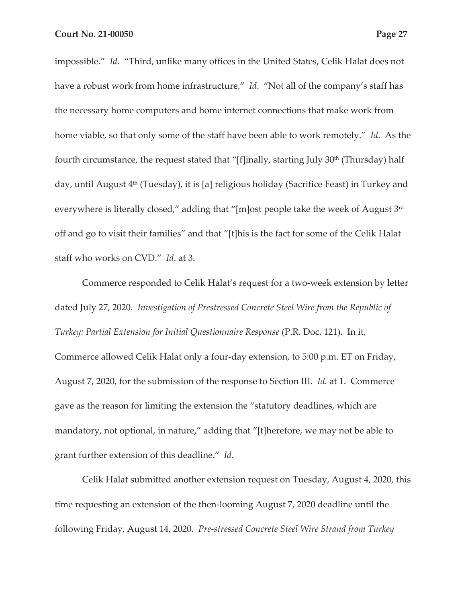impossible." *Id*. "Third, unlike many offices in the United States, Celik Halat does not have a robust work from home infrastructure." *Id*. "Not all of the company's staff has the necessary home computers and home internet connections that make work from home viable, so that only some of the staff have been able to work remotely." *Id*. As the fourth circumstance, the request stated that "[f]inally, starting July  $30<sup>th</sup>$  (Thursday) half day, until August 4<sup>th</sup> (Tuesday), it is [a] religious holiday (Sacrifice Feast) in Turkey and everywhere is literally closed," adding that "[m]ost people take the week of August 3<sup>rd</sup> off and go to visit their families" and that "[t]his is the fact for some of the Celik Halat staff who works on CVD." *Id*. at 3.

Commerce responded to Celik Halat's request for a two-week extension by letter dated July 27, 2020. *Investigation of Prestressed Concrete Steel Wire from the Republic of Turkey: Partial Extension for Initial Questionnaire Response* (P.R. Doc. 121). In it, Commerce allowed Celik Halat only a four-day extension, to 5:00 p.m. ET on Friday, August 7, 2020, for the submission of the response to Section III. *Id.* at 1. Commerce gave as the reason for limiting the extension the "statutory deadlines, which are mandatory, not optional, in nature," adding that "[t]herefore, we may not be able to grant further extension of this deadline." *Id*.

Celik Halat submitted another extension request on Tuesday, August 4, 2020, this time requesting an extension of the then-looming August 7, 2020 deadline until the following Friday, August 14, 2020. *Pre-stressed Concrete Steel Wire Strand from Turkey*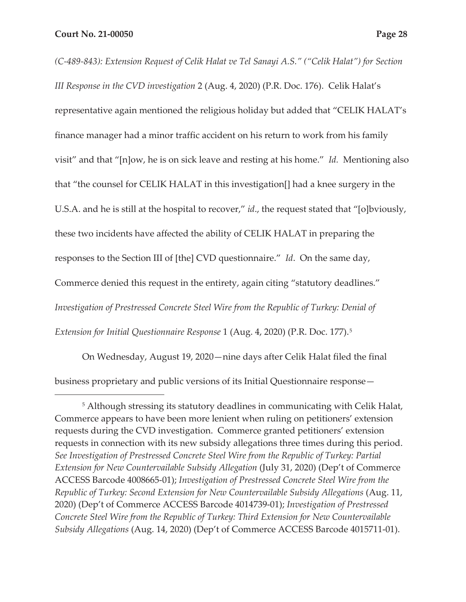*(C-489-843): Extension Request of Celik Halat ve Tel Sanayi A.S." ("Celik Halat") for Section III Response in the CVD investigation* 2 (Aug. 4, 2020) (P.R. Doc. 176). Celik Halat's representative again mentioned the religious holiday but added that "CELIK HALAT's finance manager had a minor traffic accident on his return to work from his family visit" and that "[n]ow, he is on sick leave and resting at his home." *Id.* Mentioning also that "the counsel for CELIK HALAT in this investigation[] had a knee surgery in the U.S.A. and he is still at the hospital to recover," *id*., the request stated that "[o]bviously, these two incidents have affected the ability of CELIK HALAT in preparing the responses to the Section III of [the] CVD questionnaire." *Id*. On the same day, Commerce denied this request in the entirety, again citing "statutory deadlines." *Investigation of Prestressed Concrete Steel Wire from the Republic of Turkey: Denial of Extension for Initial Questionnaire Response* 1 (Aug. 4, 2020) (P.R. Doc. 177).5

On Wednesday, August 19, 2020—nine days after Celik Halat filed the final business proprietary and public versions of its Initial Questionnaire response—

<sup>&</sup>lt;sup>5</sup> Although stressing its statutory deadlines in communicating with Celik Halat, Commerce appears to have been more lenient when ruling on petitioners' extension requests during the CVD investigation. Commerce granted petitioners' extension requests in connection with its new subsidy allegations three times during this period. *See Investigation of Prestressed Concrete Steel Wire from the Republic of Turkey: Partial Extension for New Countervailable Subsidy Allegation* (July 31, 2020) (Dep't of Commerce ACCESS Barcode 4008665-01); *Investigation of Prestressed Concrete Steel Wire from the Republic of Turkey: Second Extension for New Countervailable Subsidy Allegations* (Aug. 11, 2020) (Dep't of Commerce ACCESS Barcode 4014739-01); *Investigation of Prestressed Concrete Steel Wire from the Republic of Turkey: Third Extension for New Countervailable Subsidy Allegations* (Aug. 14, 2020) (Dep't of Commerce ACCESS Barcode 4015711-01).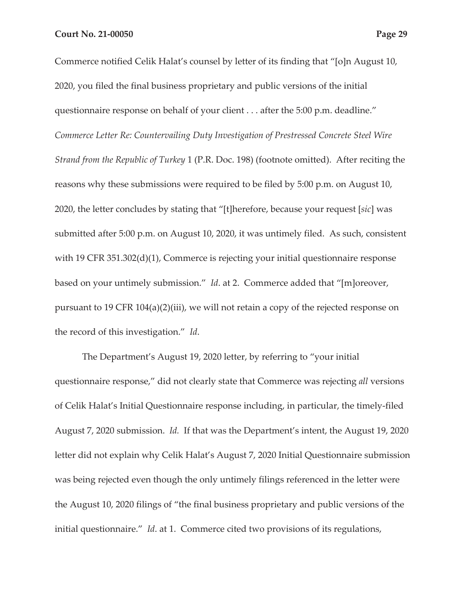Commerce notified Celik Halat's counsel by letter of its finding that "[o]n August 10, 2020, you filed the final business proprietary and public versions of the initial questionnaire response on behalf of your client . . . after the 5:00 p.m. deadline." *Commerce Letter Re: Countervailing Duty Investigation of Prestressed Concrete Steel Wire Strand from the Republic of Turkey* 1 (P.R. Doc. 198) (footnote omitted). After reciting the reasons why these submissions were required to be filed by 5:00 p.m. on August 10, 2020, the letter concludes by stating that "[t]herefore, because your request [*sic*] was submitted after 5:00 p.m. on August 10, 2020, it was untimely filed. As such, consistent with 19 CFR 351.302(d)(1), Commerce is rejecting your initial questionnaire response based on your untimely submission." *Id*. at 2. Commerce added that "[m]oreover, pursuant to 19 CFR 104(a)(2)(iii), we will not retain a copy of the rejected response on the record of this investigation." *Id*.

The Department's August 19, 2020 letter, by referring to "your initial questionnaire response," did not clearly state that Commerce was rejecting *all* versions of Celik Halat's Initial Questionnaire response including, in particular, the timely-filed August 7, 2020 submission. *Id.* If that was the Department's intent, the August 19, 2020 letter did not explain why Celik Halat's August 7, 2020 Initial Questionnaire submission was being rejected even though the only untimely filings referenced in the letter were the August 10, 2020 filings of "the final business proprietary and public versions of the initial questionnaire." *Id*. at 1. Commerce cited two provisions of its regulations,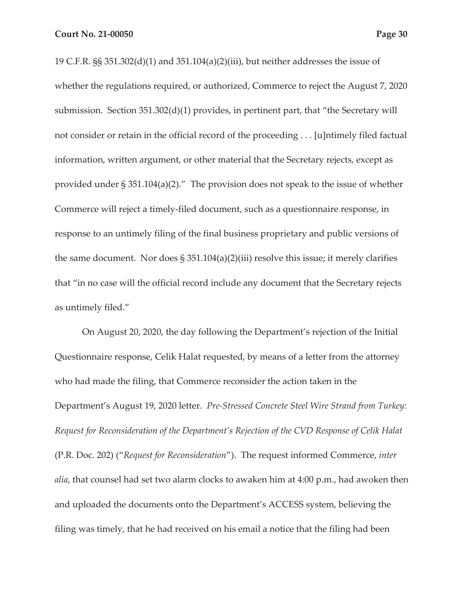19 C.F.R. §§ 351.302(d)(1) and 351.104(a)(2)(iii), but neither addresses the issue of whether the regulations required, or authorized, Commerce to reject the August 7, 2020 submission. Section 351.302(d)(1) provides, in pertinent part, that "the Secretary will not consider or retain in the official record of the proceeding . . . [u]ntimely filed factual information, written argument, or other material that the Secretary rejects, except as provided under § 351.104(a)(2)." The provision does not speak to the issue of whether Commerce will reject a timely-filed document, such as a questionnaire response, in response to an untimely filing of the final business proprietary and public versions of the same document. Nor does  $\S 351.104(a)(2)(iii)$  resolve this issue; it merely clarifies that "in no case will the official record include any document that the Secretary rejects as untimely filed."

On August 20, 2020, the day following the Department's rejection of the Initial Questionnaire response, Celik Halat requested, by means of a letter from the attorney who had made the filing, that Commerce reconsider the action taken in the Department's August 19, 2020 letter. *Pre-Stressed Concrete Steel Wire Strand from Turkey: Request for Reconsideration of the Department's Rejection of the CVD Response of Celik Halat*  (P.R. Doc. 202) ("*Request for Reconsideration*"). The request informed Commerce, *inter alia*, that counsel had set two alarm clocks to awaken him at 4:00 p.m., had awoken then and uploaded the documents onto the Department's ACCESS system, believing the filing was timely, that he had received on his email a notice that the filing had been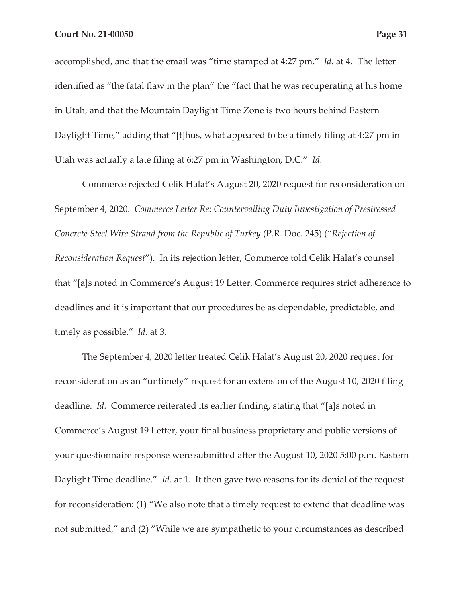accomplished, and that the email was "time stamped at 4:27 pm." *Id*. at 4. The letter identified as "the fatal flaw in the plan" the "fact that he was recuperating at his home in Utah, and that the Mountain Daylight Time Zone is two hours behind Eastern Daylight Time," adding that "[t]hus, what appeared to be a timely filing at 4:27 pm in Utah was actually a late filing at 6:27 pm in Washington, D.C." *Id*.

Commerce rejected Celik Halat's August 20, 2020 request for reconsideration on September 4, 2020. *Commerce Letter Re: Countervailing Duty Investigation of Prestressed Concrete Steel Wire Strand from the Republic of Turkey* (P.R. Doc. 245) ("*Rejection of Reconsideration Request*"). In its rejection letter, Commerce told Celik Halat's counsel that "[a]s noted in Commerce's August 19 Letter, Commerce requires strict adherence to deadlines and it is important that our procedures be as dependable, predictable, and timely as possible." *Id.* at 3.

The September 4, 2020 letter treated Celik Halat's August 20, 2020 request for reconsideration as an "untimely" request for an extension of the August 10, 2020 filing deadline. *Id.* Commerce reiterated its earlier finding, stating that "[a]s noted in Commerce's August 19 Letter, your final business proprietary and public versions of your questionnaire response were submitted after the August 10, 2020 5:00 p.m. Eastern Daylight Time deadline." *Id*. at 1. It then gave two reasons for its denial of the request for reconsideration: (1) "We also note that a timely request to extend that deadline was not submitted," and (2) "While we are sympathetic to your circumstances as described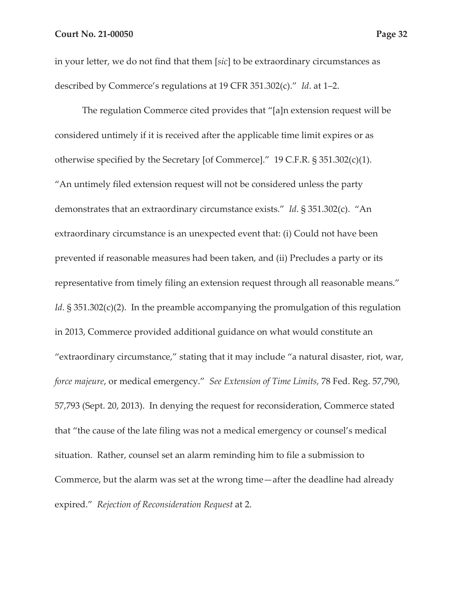in your letter, we do not find that them [*sic*] to be extraordinary circumstances as described by Commerce's regulations at 19 CFR 351.302(c)." *Id*. at 1–2.

The regulation Commerce cited provides that "[a]n extension request will be considered untimely if it is received after the applicable time limit expires or as otherwise specified by the Secretary [of Commerce]." 19 C.F.R. § 351.302(c)(1). "An untimely filed extension request will not be considered unless the party demonstrates that an extraordinary circumstance exists." *Id*. § 351.302(c). "An extraordinary circumstance is an unexpected event that: (i) Could not have been prevented if reasonable measures had been taken, and (ii) Precludes a party or its representative from timely filing an extension request through all reasonable means." *Id*. § 351.302(c)(2). In the preamble accompanying the promulgation of this regulation in 2013, Commerce provided additional guidance on what would constitute an "extraordinary circumstance," stating that it may include "a natural disaster, riot, war, *force majeure*, or medical emergency." *See Extension of Time Limits,* 78 Fed. Reg. 57,790, 57,793 (Sept. 20, 2013). In denying the request for reconsideration, Commerce stated that "the cause of the late filing was not a medical emergency or counsel's medical situation. Rather, counsel set an alarm reminding him to file a submission to Commerce, but the alarm was set at the wrong time—after the deadline had already expired." *Rejection of Reconsideration Request* at 2.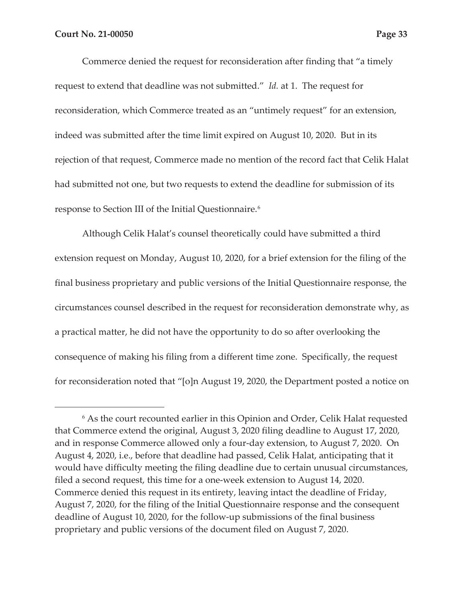Commerce denied the request for reconsideration after finding that "a timely request to extend that deadline was not submitted." *Id.* at 1. The request for reconsideration, which Commerce treated as an "untimely request" for an extension, indeed was submitted after the time limit expired on August 10, 2020. But in its rejection of that request, Commerce made no mention of the record fact that Celik Halat had submitted not one, but two requests to extend the deadline for submission of its response to Section III of the Initial Questionnaire.<sup>6</sup>

Although Celik Halat's counsel theoretically could have submitted a third extension request on Monday, August 10, 2020, for a brief extension for the filing of the final business proprietary and public versions of the Initial Questionnaire response, the circumstances counsel described in the request for reconsideration demonstrate why, as a practical matter, he did not have the opportunity to do so after overlooking the consequence of making his filing from a different time zone. Specifically, the request for reconsideration noted that "[o]n August 19, 2020, the Department posted a notice on

<sup>&</sup>lt;sup>6</sup> As the court recounted earlier in this Opinion and Order, Celik Halat requested that Commerce extend the original, August 3, 2020 filing deadline to August 17, 2020, and in response Commerce allowed only a four-day extension, to August 7, 2020. On August 4, 2020, i.e., before that deadline had passed, Celik Halat, anticipating that it would have difficulty meeting the filing deadline due to certain unusual circumstances, filed a second request, this time for a one-week extension to August 14, 2020. Commerce denied this request in its entirety, leaving intact the deadline of Friday, August 7, 2020, for the filing of the Initial Questionnaire response and the consequent deadline of August 10, 2020, for the follow-up submissions of the final business proprietary and public versions of the document filed on August 7, 2020.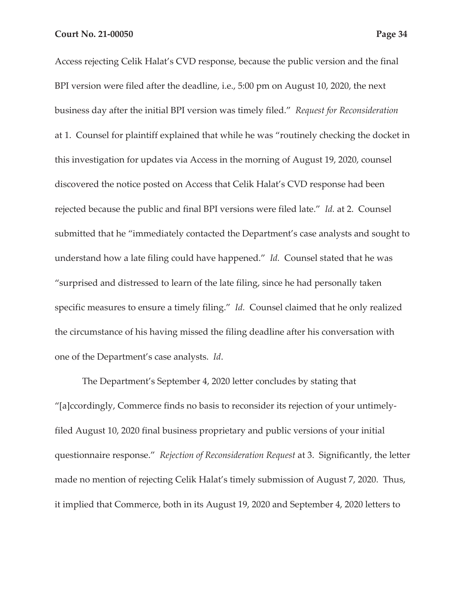Access rejecting Celik Halat's CVD response, because the public version and the final BPI version were filed after the deadline, i.e., 5:00 pm on August 10, 2020, the next business day after the initial BPI version was timely filed." *Request for Reconsideration*  at 1. Counsel for plaintiff explained that while he was "routinely checking the docket in this investigation for updates via Access in the morning of August 19, 2020, counsel discovered the notice posted on Access that Celik Halat's CVD response had been rejected because the public and final BPI versions were filed late." *Id.* at 2. Counsel submitted that he "immediately contacted the Department's case analysts and sought to understand how a late filing could have happened." *Id.* Counsel stated that he was "surprised and distressed to learn of the late filing, since he had personally taken specific measures to ensure a timely filing." *Id.* Counsel claimed that he only realized the circumstance of his having missed the filing deadline after his conversation with one of the Department's case analysts. *Id*.

The Department's September 4, 2020 letter concludes by stating that "[a]ccordingly, Commerce finds no basis to reconsider its rejection of your untimelyfiled August 10, 2020 final business proprietary and public versions of your initial questionnaire response." *Rejection of Reconsideration Request* at 3. Significantly, the letter made no mention of rejecting Celik Halat's timely submission of August 7, 2020. Thus, it implied that Commerce, both in its August 19, 2020 and September 4, 2020 letters to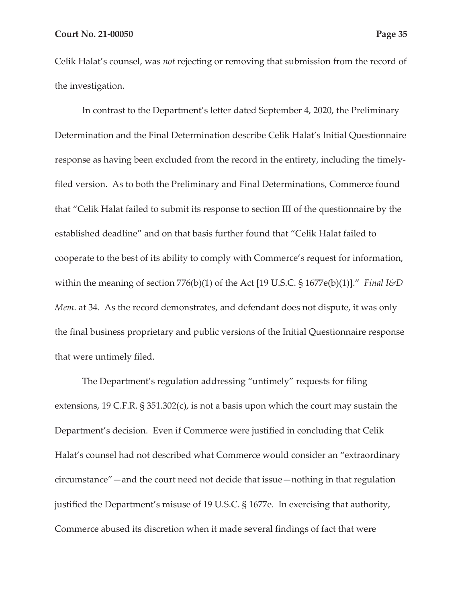Celik Halat's counsel, was *not* rejecting or removing that submission from the record of the investigation.

In contrast to the Department's letter dated September 4, 2020, the Preliminary Determination and the Final Determination describe Celik Halat's Initial Questionnaire response as having been excluded from the record in the entirety, including the timelyfiled version. As to both the Preliminary and Final Determinations, Commerce found that "Celik Halat failed to submit its response to section III of the questionnaire by the established deadline" and on that basis further found that "Celik Halat failed to cooperate to the best of its ability to comply with Commerce's request for information, within the meaning of section 776(b)(1) of the Act [19 U.S.C. § 1677e(b)(1)]." *Final I&D Mem*. at 34. As the record demonstrates, and defendant does not dispute, it was only the final business proprietary and public versions of the Initial Questionnaire response that were untimely filed.

The Department's regulation addressing "untimely" requests for filing extensions, 19 C.F.R. § 351.302(c), is not a basis upon which the court may sustain the Department's decision. Even if Commerce were justified in concluding that Celik Halat's counsel had not described what Commerce would consider an "extraordinary circumstance"—and the court need not decide that issue—nothing in that regulation justified the Department's misuse of 19 U.S.C. § 1677e. In exercising that authority, Commerce abused its discretion when it made several findings of fact that were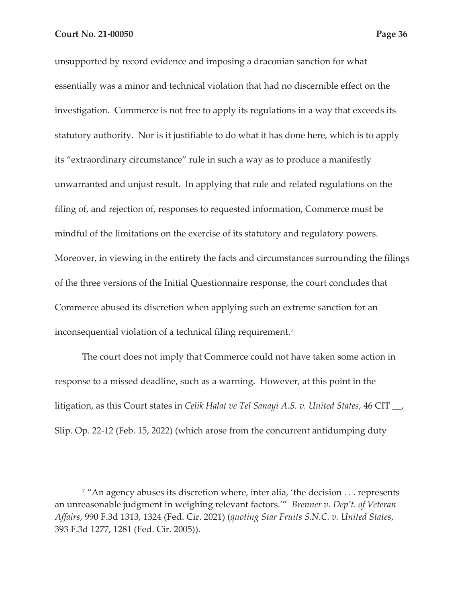unsupported by record evidence and imposing a draconian sanction for what essentially was a minor and technical violation that had no discernible effect on the investigation. Commerce is not free to apply its regulations in a way that exceeds its statutory authority. Nor is it justifiable to do what it has done here, which is to apply its "extraordinary circumstance" rule in such a way as to produce a manifestly unwarranted and unjust result. In applying that rule and related regulations on the filing of, and rejection of, responses to requested information, Commerce must be mindful of the limitations on the exercise of its statutory and regulatory powers. Moreover, in viewing in the entirety the facts and circumstances surrounding the filings of the three versions of the Initial Questionnaire response, the court concludes that Commerce abused its discretion when applying such an extreme sanction for an inconsequential violation of a technical filing requirement.7

The court does not imply that Commerce could not have taken some action in response to a missed deadline, such as a warning. However, at this point in the litigation, as this Court states in *Celik Halat ve Tel Sanayi A.S. v. United States*, 46 CIT \_\_, Slip. Op. 22-12 (Feb. 15, 2022) (which arose from the concurrent antidumping duty

<sup>&</sup>lt;sup>7</sup> "An agency abuses its discretion where, inter alia, 'the decision . . . represents an unreasonable judgment in weighing relevant factors.'" *Brenner v. Dep't. of Veteran Affairs*, 990 F.3d 1313, 1324 (Fed. Cir. 2021) (*quoting Star Fruits S.N.C. v. United States*, 393 F.3d 1277, 1281 (Fed. Cir. 2005)).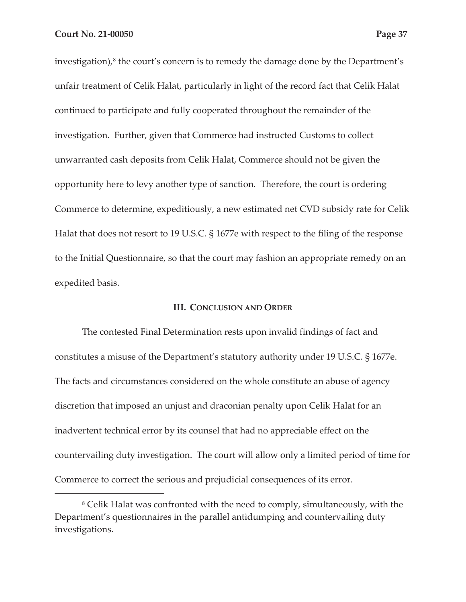investigation),<sup>8</sup> the court's concern is to remedy the damage done by the Department's unfair treatment of Celik Halat, particularly in light of the record fact that Celik Halat continued to participate and fully cooperated throughout the remainder of the investigation. Further, given that Commerce had instructed Customs to collect unwarranted cash deposits from Celik Halat, Commerce should not be given the opportunity here to levy another type of sanction. Therefore, the court is ordering Commerce to determine, expeditiously, a new estimated net CVD subsidy rate for Celik Halat that does not resort to 19 U.S.C. § 1677e with respect to the filing of the response to the Initial Questionnaire, so that the court may fashion an appropriate remedy on an expedited basis.

#### **III. CONCLUSION AND ORDER**

The contested Final Determination rests upon invalid findings of fact and constitutes a misuse of the Department's statutory authority under 19 U.S.C. § 1677e. The facts and circumstances considered on the whole constitute an abuse of agency discretion that imposed an unjust and draconian penalty upon Celik Halat for an inadvertent technical error by its counsel that had no appreciable effect on the countervailing duty investigation. The court will allow only a limited period of time for Commerce to correct the serious and prejudicial consequences of its error.

<sup>&</sup>lt;sup>8</sup> Celik Halat was confronted with the need to comply, simultaneously, with the Department's questionnaires in the parallel antidumping and countervailing duty investigations.